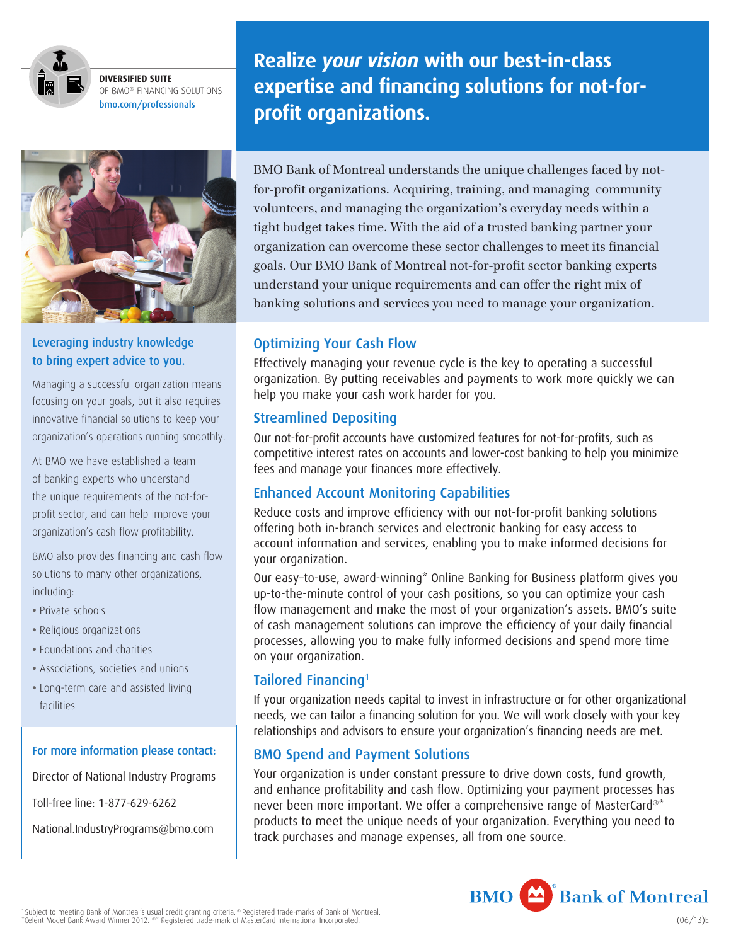

**DIVERSIFIED SUITE** OF BMO<sup>®</sup> FINANCING SOLUTIONS bmo.com/professionals

**National Industry Programs**

Franchise **National Industry Programs McDonald's**

### Leveraging industry knowledge to bring expert advice to you.

Managing a successful organization means focusing on your goals, but it also requires innovative financial solutions to keep your organization's operations running smoothly.

At BMO we have established a team of banking experts who understand the unique requirements of the not-forprofit sector, and can help improve your organization's cash flow profitability.

BMO also provides financing and cash flow solutions to many other organizations, including:

- Private schools
- Religious organizations
- Foundations and charities
- Associations, societies and unions
- Long-term care and assisted living facilities

#### For more information please contact:

Director of National Industry Programs

Toll-free line: 1-877-629-6262

[National.IndustryPrograms@bmo.com](mailto:National.IndustryPrograms@bmo.com)

**Realize** *your vision* **with our best-in-class expertise and financing solutions for not-forprofit organizations.** 

> BMO Bank of Montreal understands the unique challenges faced by notfor-profit organizations. Acquiring, training, and managing community volunteers, and managing the organization's everyday needs within a tight budget takes time. With the aid of a trusted banking partner your organization can overcome these sector challenges to meet its financial goals. Our BMO Bank of Montreal not-for-profit sector banking experts  $\mathcal{L}$  understand your unique requirements and can offer the right mix of banking solutions and services you need to manage your organization.

# Optimizing Your Cash Flow

Effectively managing your revenue cycle is the key to operating a successful organization. By putting receivables and payments to work more quickly we can help you make your cash work harder for you.

# Streamlined Depositing

Our not-for-profit accounts have customized features for not-for-profits, such as competitive interest rates on accounts and lower-cost banking to help you minimize fees and manage your finances more effectively.

# Enhanced Account Monitoring Capabilities

Reduce costs and improve efficiency with our not-for-profit banking solutions offering both in-branch services and electronic banking for easy access to account information and services, enabling you to make informed decisions for your organization.

Our easy–to-use, award-winning\* Online Banking for Business platform gives you up-to-the-minute control of your cash positions, so you can optimize your cash flow management and make the most of your organization's assets. BMO's suite of cash management solutions can improve the efficiency of your daily financial processes, allowing you to make fully informed decisions and spend more time on your organization.

# Tailored Financing1

If your organization needs capital to invest in infrastructure or for other organizational needs, we can tailor a financing solution for you. We will work closely with your key relationships and advisors to ensure your organization's financing needs are met.

# BMO Spend and Payment Solutions

Your organization is under constant pressure to drive down costs, fund growth, and enhance profitability and cash flow. Optimizing your payment processes has never been more important. We offer a comprehensive range of MasterCard®\* products to meet the unique needs of your organization. Everything you need to track purchases and manage expenses, all from one source.

**BMO** Bank of Montreal